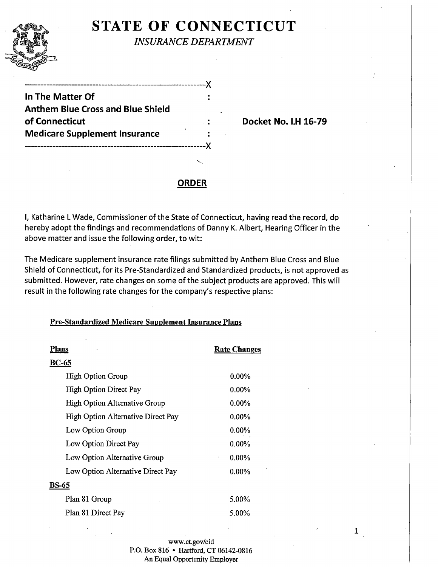

# **STATE OF CONNECTICUT**

*INSURANCE DEPARTMENT* 

 $\bullet$ 

-----------------------------------------------------------)( **In The Matter Of Anthem Blue Cross and Blue Shield of Connecticut Connecticut** Docket No. LH 16-79 **Medicare Supplement Insurance**  -----------------------------------------------------------)(

## **ORDER**

I, Katharine L Wade, Commissioner of the State of Connecticut, having read the record, do hereby adopt the findings and recommendations of Danny K. Albert, Hearing Officer in the above matter and issue the following order, to wit:

The Medicare supplement insurance rate filings submitted by Anthem Blue Cross and Blue Shield of Connecticut, for its Pre-Standardized and Standardized products, is not approved as submitted. However, rate changes on some of the subject products are approved. This will result in the following rate changes for the company's respective plans:

### Pre-Standardized Medicare Supplement Insurance Plans

| Plans                              | <b>Rate Changes</b>      |
|------------------------------------|--------------------------|
| <b>BC-65</b>                       |                          |
| <b>High Option Group</b>           | $0.00\%$                 |
| <b>High Option Direct Pay</b>      | $0.00\%$                 |
| High Option Alternative Group      | $0.00\%$                 |
| High Option Alternative Direct Pay | $0.00\%$                 |
| Low Option Group                   | $0.00\%$                 |
| Low Option Direct Pay              | 0.00%                    |
| Low Option Alternative Group       | $0.00\%$<br>$\pmb{\ast}$ |
| Low Option Alternative Direct Pay  | $0.00\%$                 |
| BS-65                              |                          |
| Plan 81 Group                      | 5.00%                    |
| Plan 81 Direct Pay                 | 5.00%                    |

www.ct.gov/cid P.O. Box 816 • Hartford, CT 06142-0816 An Equal Opportunity Employer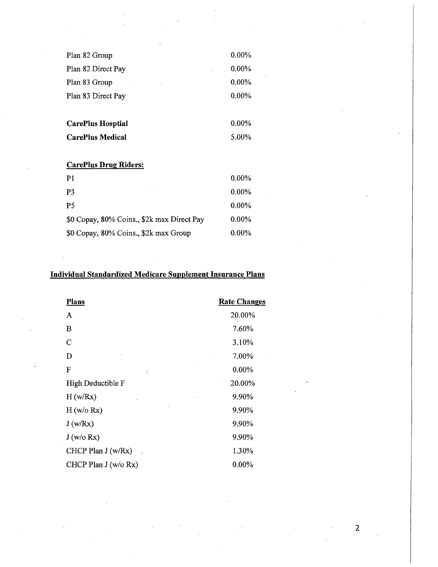| $0.00\%$ |
|----------|
| $0.00\%$ |
| $0.00\%$ |
| $0.00\%$ |
| $0.00\%$ |
| 5.00%    |
|          |

#### CarePlus Drug Riders:

| P <sub>1</sub>                             | 0.00%    |
|--------------------------------------------|----------|
| P3                                         | $0.00\%$ |
| <b>P5</b>                                  | 0.00%    |
| \$0 Copay, 80% Coins., \$2k max Direct Pay | $0.00\%$ |
| \$0 Copay, 80% Coins., \$2k max Group      | $0.00\%$ |

# Individual Standardized Medicare Supplement Insurance Plans

| <b>Plans</b>          | <b>Rate Changes</b> |
|-----------------------|---------------------|
| A                     | 20.00%              |
| B                     | 7.60%               |
| C                     | 3.10%               |
| D                     | 7.00%               |
| F<br>Ť                | 0.00%               |
| High Deductible F     | 20.00%              |
| H(w/Rx)               | 9.90%               |
| H (w/o Rx)            | 9.90%               |
| J(w/Rx)               | 9.90%               |
| J(w/o Rx)             | 9.90%               |
| CHCP Plan J (w/Rx)    | 1.30%               |
| CHCP Plan $J(w/o Rx)$ | $0.00\%$            |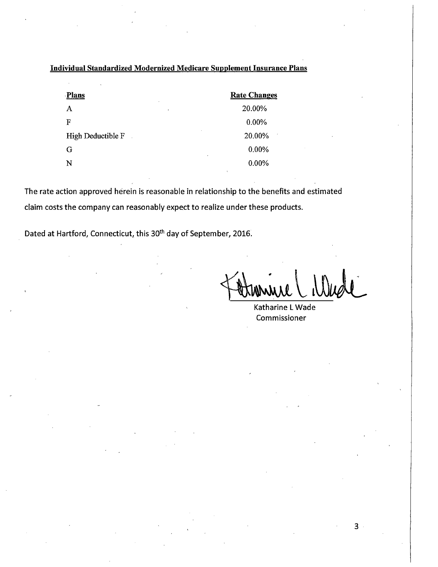## Individual Standardized Modernized Medicare Supplement Insurance Plans

| <b>Plans</b><br>$\bullet$ | <b>Rate Changes</b> |
|---------------------------|---------------------|
| Α<br>$\bullet$            | 20.00%              |
| F                         | 0.00%               |
| High Deductible F         | 20.00%              |
| G                         | 0.00%               |
| ٠<br>N                    | 0.00%               |

The rate action approved herein is reasonable in relationship to the benefits and estimated claim costs the company can reasonably expect to realize under these products.

Dated at Hartford, Connecticut, this 30<sup>th</sup> day of September, 2016.

Katharine L Wade Commissioner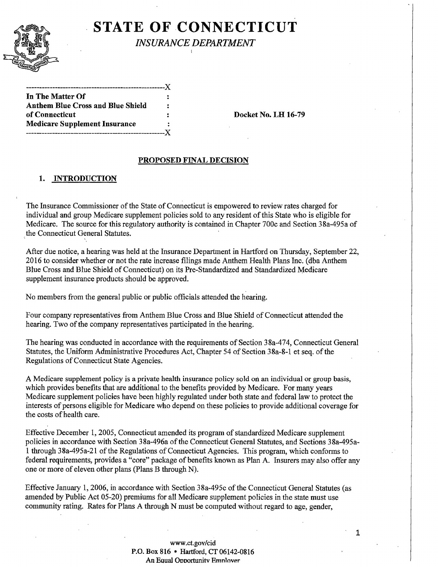

# **STATE OF CONNECTICUT**

*INSURANCE DEPARTMENT* 

.-----------------X In The Matter Of Anthem Blue Cross and Blue Shield of Connecticut Docket No. LH 16-79 Medicare Supplement Insurance -----------------------------------------------------X

#### PROPOSED FINAL DECISION

#### 1. INTRODUCTION

The Insurance Commissioner of the State of Connecticut is empowered to review rates charged for individual and group Medicare supplement policies sold to any resident of this State who is eligible for Medicare. The source for this regulatory authority is contained in Chapter 700c and Section 38a-495a of the Connecticut General Statutes.

After due notice, a hearing was held at the Insurance Department in Hartford on Thursday, September 22, 2016 to consider whether or not the rate increase filings made Anthem Health Plans Inc. ( dba Anthem Blue Cross and Blue Shield of Connecticut) on its Pre-Standardized and Standardized Medicare supplement insurance products should be approved.

No members from the general public or public officials attended the hearing.

Four company representatives from Anthem Blue Cross and Blue Shield of Connecticut attended the hearing. Two of the company representatives participated in the hearing.

The hearing was conducted in accordance with the requirements of Section 38a-474, Connecticut General Statutes, the Uniform Administrative Procedures Act, Chapter 54 of Section 38a-8-1 et seq. of the Regulations of Connecticut State Agencies.

A Medicare supplement policy is a private health insurance policy sold on an individual or group basis, which provides benefits that are additional to the benefits provided by Medicare. For many years Medicare supplement policies have been highly regulated under both state and federal law to protect the interests of persons eligible for Medicare who depend on these policies to provide additional coverage for the costs of health care.

Effective December 1, 2005, Connecticut amended its program of standardized Medicare supplement policies in accordance with Section 38a-496a of the Connecticut General Statutes, and Sections 38a-495a-1 through 3 8a495a-21 ofthe Regulations of Connecticut Agencies. This program, which conforms to federal requirements, provides a "core" package of benefits known as Plan A. Insurers may also offer any one or more of eleven other plans (Plans B through N).

Effective January 1, 2006, in accordance with Section 38a-495c of the Connecticut General Statutes (as amended by Public Act 05-20) premiums for all Medicare supplement policies in the state must use community rating. Rates for Plans A through N must be computed without regard to age, gender,

> www.ct.gov/cid P.O. Box 816 • Hartford, CT 06142-0816 An Eaual Oonortunitv Emnlover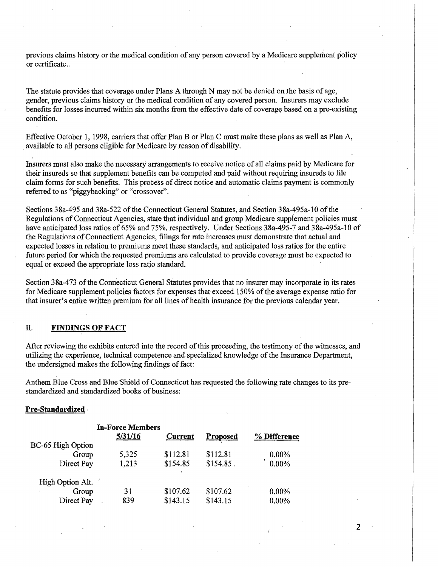previous claims history or the medical condition of any person covered by a Medicare supplement policy or certificate...

The statute provides that coverage under Plans A through N may not be denied on the basis of age, gender, previous claims history or the medical condition of any covered person. Insurers may exclude benefits for losses incurred within six months from the effective date of coverage based on a pre-existing condition.

Effective October 1, 1998, carriers that offer Plan B or Plan C must make these plans as well as PlanA, available to all persons eligible for Medicare by reason of disability.

Insurers must also make the necessary arrangements to receive notice of all claims paid by Medicare for their insureds so that supplement benefits can be computed and paid without requiring insureds to file claim forms for such benefits. This process of direct notice and automatic claims payment is commonly referred to as "piggybacking" or "crossover".

Sections 38a-495 and 38a-522 of the Connecticut General Statutes, and Section 38a-495a-10 of the Regulations of Connecticut Agencies, state that individual and group Medicare supplement policies must have anticipated loss ratios of 65% and 75%, respectively. Under Sections 38a-495-7 and 38a-495a-10 of the Regulations of Connecticut Agencies, filings for rate increases must demonstrate that actual and expected losses in relation to premiums meet these standards, and anticipated loss ratios for the entire future period for which the requested premiums are calculated to provide coverage must be expected to equal or exceed the appropriate loss ratio standard.

Section 38a-473 of the Connecticut General Statutes provides that no insurer may incorporate in its rates for Medicare supplement policies factors for expenses that exceed 150% of the average expense ratio for that insurer's entire written premium for all lines of health insurance for the previous calendar year.

#### **II. FINDINGS OF FACT**

After reviewing the exhibits entered into the record of this proceeding, the testimony of the witnesses, and utilizing the experience, technical competence and specialized knowledge ofthe Insurance Department, the undersigned makes the following findings of fact:

Anthem Blue Cross and Blue Shield of Connecticut has requested the following rate changes to its prestandardized and standardized books of business:

**2** 

#### **Pre-Standardized** ·

|                   | <b>In-Force Members</b><br>5/31/16 | <b>Current</b> | <b>Proposed</b> | % Difference |
|-------------------|------------------------------------|----------------|-----------------|--------------|
| BC-65 High Option |                                    |                |                 |              |
| Group             | 5,325                              | \$112.81       | \$112.81        | $0.00\%$     |
| Direct Pay        | 1,213                              | \$154.85       | \$154.85        | 0.00%        |
| High Option Alt.  |                                    |                |                 |              |
| Group             | 31                                 | \$107.62       | \$107.62        | 0.00%        |
| Direct Pay        | 839                                | \$143.15       | \$143.15        | 0.00%        |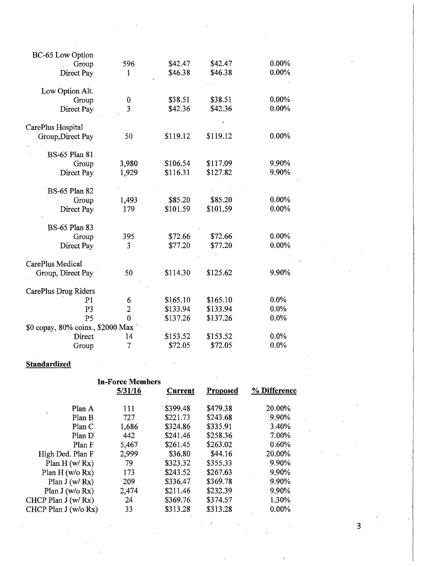| BC-65 Low Option                  |                |          |          |          |
|-----------------------------------|----------------|----------|----------|----------|
| Group.                            | 596            | \$42.47  | \$42.47  | $.00\%$  |
| Direct Pay                        | 1              | \$46.38  | \$46.38  | 0.00%    |
| Low Option Alt.                   |                |          |          |          |
| Group                             | $\bf{0}$       | \$38.51  | \$38.51  | $0.00\%$ |
| Direct Pay                        | $\overline{3}$ | \$42.36  | \$42.36  | $0.00\%$ |
| CarePlus Hospital                 |                |          |          |          |
| Group, Direct Pay                 | 50             | \$119.12 | \$119.12 | 0.00%    |
| <b>BS-65 Plan 81</b>              |                |          |          |          |
| Group                             | 3,980          | \$106.54 | \$117.09 | 9.90%    |
| Direct Pay                        | 1,929          | \$116.31 | \$127.82 | 9.90%    |
| <b>BS-65 Plan 82</b>              |                |          |          |          |
| Group                             | 1,493          | \$85.20  | \$85.20  | $0.00\%$ |
| Direct Pay                        | 179            | \$101.59 | \$101.59 | $0.00\%$ |
| <b>BS-65 Plan 83</b>              |                |          |          |          |
| Group                             | 395            | \$72.66  | \$72.66  | 0.00%    |
| Direct Pay                        | 3              | \$77.20  | \$77.20  | 0.00%    |
| CarePlus Medical                  |                |          |          |          |
| Group, Direct Pay                 | 50             | \$114.30 | \$125.62 | 9.90%    |
| CarePlus Drug Riders              |                |          |          |          |
| P <sub>1</sub>                    | 6              | \$165.10 | \$165.10 | $0.0\%$  |
| P <sub>3</sub>                    | $\overline{c}$ | \$133.94 | \$133.94 | $0.0\%$  |
| P <sub>5</sub>                    | $\theta$       | \$137.26 | \$137.26 | $0.0\%$  |
| \$0 copay, 80% coins., \$2000 Max |                |          |          |          |
| Direct                            | 14             | \$153.52 | \$153.52 | $0.0\%$  |
| Group                             | 7              | \$72.05  | \$72.05  | $0.0\%$  |

## **Standardized**

|                            | <b>In-Force Members</b> |                |          |              |
|----------------------------|-------------------------|----------------|----------|--------------|
|                            | 5/31/16                 | <b>Current</b> | Proposed | % Difference |
| Plan A                     | 111                     | \$399.48       | \$479.38 | 20.00%       |
| Plan B                     | 727                     | \$221.73       | \$243.68 | 9.90%        |
| Plan C                     | 1,686                   | \$324.86       | \$335.91 | 3.40%        |
| Plan D'                    | 442                     | \$241.46       | \$258.36 | 7.00%        |
| Plan F                     | 5,467                   | \$261.45       | \$263.02 | 0.60%        |
| High Ded. Plan F           | 2,999                   | \$36.80        | \$44.16  | 20.00%       |
| Plan $H(w/Rx)$             | 79                      | \$323.32       | \$355.33 | 9.90%        |
| Plan $H$ (w/o Rx)          | 173                     | \$243.52       | \$267.63 | 9.90%        |
| Plan $J(w/Rx)$             | 209                     | \$336.47       | \$369.78 | 9.90%        |
| Plan $J(w/o Rx)$           | 2,474                   | \$211,46       | \$232.39 | 9.90%        |
| CHCP Plan J (w/ Rx)        | 24                      | \$369.76       | \$374.57 | 1.30%        |
| CHCP Plan $J(w/\sigma Rx)$ | 33                      | \$313.28       | \$313.28 | $0.00\%$     |
|                            |                         |                |          |              |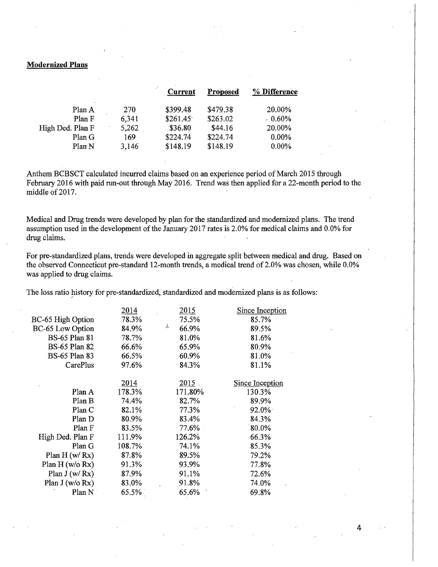#### **Modernized Plans**

|                  |       | Current  | Proposed | % Difference |
|------------------|-------|----------|----------|--------------|
| Plan A           | 270   | \$399.48 | \$479.38 | 20.00%       |
| Plan F           | 6,341 | \$261.45 | \$263.02 | $0.60\%$     |
| High Ded. Plan F | 5,262 | \$36.80  | \$44.16  | 20.00%       |
| Plan G           | 169   | \$224.74 | \$224.74 | 0.00%        |
| Plan N           | 3,146 | \$148.19 | \$148.19 | $0.00\%$     |

Anthem BCBSCT calculated incurred claims based on an experience period of March 2015 through February 2016 with paid run-out through May 2016. Trend was then applied for a 22-month period to the middle of 2017.

Medical and Drug trends were developed by plan for the standardized and modernized plans. The trend assumption used in the development of the January 2017 rates is 2.0% for medical claims and 0.0% for drug claims.

For pre-standardized plans, trends were developed in aggregate split between medical and drug. Based on the observed Connecticut pre-standard 12-month trends, a medical trend of 2.0% was chosen, while 0.0% was applied to drug claims.

The loss ratio history for pre-standardized, standardized and modernized plans is as follows:

|                      | 2014   | 2015       | Since Inception |
|----------------------|--------|------------|-----------------|
| BC-65 High Option    | 78.3%  | 75.5%      | 85.7%           |
| BC-65 Low Option     | 84.9%  | Υ<br>66.9% | 89.5%           |
| <b>BS-65 Plan 81</b> | 78.7%  | 81.0%      | 81.6%           |
| <b>BS-65 Plan 82</b> | 66.6%  | 65.9%      | 80.9%           |
| <b>BS-65 Plan 83</b> | 66.5%  | 60.9%      | 81.0%           |
| CarePlus             | 97.6%  | 84.3%      | 81.1%           |
|                      |        |            |                 |
|                      | 2014   | $2015$ .   | Since Inception |
| Plan A               | 178.3% | 171.80%    | 130.3%          |
| Plan B               | 74.4%  | 82.7%      | 89.9%           |
| Plan C               | 82.1%  | 77.3%      | $92.0\%$        |
| Plan D               | 80.9%  | 83.4%      | 84.3%           |
| Plan F               | 83.5%  | 77.6%      | 80.0%           |
| High Ded. Plan F     | 111.9% | 126.2%     | 66.3%           |
| Plan G               | 108.7% | 74.1%      | 85.3%           |
| Plan H (w/Rx)        | 87.8%  | 89.5%      | 79.2%           |
| Plan $H$ (w/o Rx)    | 91.3%  | 93.9%      | 77.8%           |
| Plan $J(w/Rx)$       | 87.9%  | 91.1%      | 72.6%           |
| Plan $J(w/o Rx)$     | 83.0%  | 91.8%      | 74.0%           |
| Plan N               | 65.5%  | 65.6%      | 69.8%           |
|                      |        |            |                 |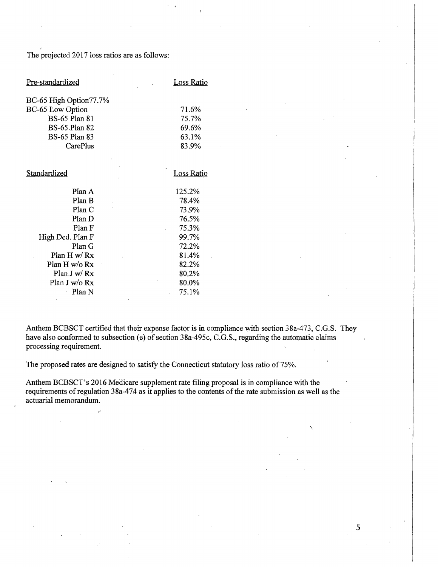The projected 2017 loss ratios are as follows:

| Pre-standardized        | <b>Loss Ratio</b> |
|-------------------------|-------------------|
| BC-65 High Option77.7%  |                   |
| <b>BC-65 Low Option</b> | 71.6%             |
| <b>BS-65 Plan 81</b>    | 75.7%             |
| <b>BS-65 Plan 82</b>    | 69.6%             |
| <b>BS-65 Plan 83</b>    | 63.1%             |
| CarePlus                | 83.9%             |
|                         |                   |
| Standardized            | <b>Loss Ratio</b> |
| Plan A                  | 125.2%            |
| Plan B                  | 78.4%             |
| PlanC                   | 73.9%             |
| Plan D                  | 76.5%             |
| Plan F                  | 75.3%             |
| High Ded. Plan F        | 99.7%             |
| Plan G                  | 72.2%             |
| Plan $H w/Rx$           | 81.4%             |
| Plan H w/o Rx           | 82.2%             |
| Plan J w/ Rx            | 80.2%             |
| Plan J w/o Rx           | 80.0%             |
| Plan N                  | 75.1%<br>ć        |

Anthem BCBSCT certified that their expense factor is in compliance with section 38a-473, C.G.S. They have also conformed to subsection (e) of section  $38a-495c$ , C.G.S., regarding the automatic claims processing requirement.

The proposed rates are designed to satisfy the Connecticut statutory loss ratio of 75%.

Anthem BCBSCT's 2016 Medicare supplement rate filing proposal is in compliance with the requirements of regulation 38a-474 as it applies to the contents of the rate submission as well as the actuarial memorandum.

 $\breve{ }$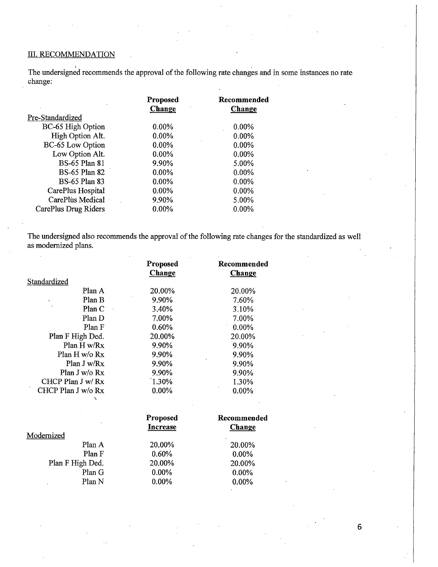#### III. RECOMMENDATION

The undersigned recommends the approval of the following rate changes and in some instances no rate change:

|                      | <b>Proposed</b> | Recommended |
|----------------------|-----------------|-------------|
|                      | Change          | Change      |
| Pre-Standardized     |                 |             |
| BC-65 High Option    | $0.00\%$        | $0.00\%$    |
| High Option Alt.     | $0.00\%$        | $0.00\%$    |
| BC-65 Low Option     | $0.00\%$        | $0.00\%$    |
| Low Option Alt.      | $0.00\%$        | $0.00\%$    |
| <b>BS-65 Plan 81</b> | 9.90%           | 5.00%       |
| <b>BS-65 Plan 82</b> | $0.00\%$        | $0.00\%$    |
| <b>BS-65 Plan 83</b> | $0.00\%$        | 0.00%       |
| CarePlus Hospital    | $0.00\%$        | $0.00\%$    |
| CarePlus Medical     | 9.90%           | 5.00%       |
| CarePlus Drug Riders | 0.00%           | $0.00\%$    |

The undersigned also recommends the approval of the following rate changes for the standardized as well as modernized plans.

|                    | Proposed        | Recommended   |
|--------------------|-----------------|---------------|
|                    | <b>Change</b>   | <b>Change</b> |
| Standardized       |                 |               |
| Plan A             | 20.00%          | 20.00%        |
| Plan B             | 9.90%           | 7.60%         |
| Plan C             | 3.40%           | 3.10%         |
| Plan D             | 7.00%           | 7.00%         |
| Plan F             | 0.60%           | 0.00%         |
| Plan F High Ded.   | 20.00%          | 20.00%        |
| Plan H w/Rx        | 9.90%           | 9.90%         |
| Plan H w/o Rx      | 9.90%           | 9.90%         |
| Plan J w/Rx        | 9.90%           | 9.90%         |
| Plan J w/o Rx      | 9.90%           | 9.90%         |
| CHCP Plan J w/ Rx  | 1.30%           | 1.30%         |
| CHCP Plan J w/o Rx | $0.00\%$        | 0.00%         |
|                    | Proposed        | Recommended   |
|                    | <b>Increase</b> | <b>Change</b> |
| Modernized         |                 |               |
| Plan A             | 20.00%          | 20.00%        |
| Plan F             | 0.60%           | 0.00%         |
| Plan F High Ded.   | 20.00%          | 20.00%        |
| Plan G             | 0.00%           | 0.00%         |
| Plan N             | 0.00%           | 0.00%         |